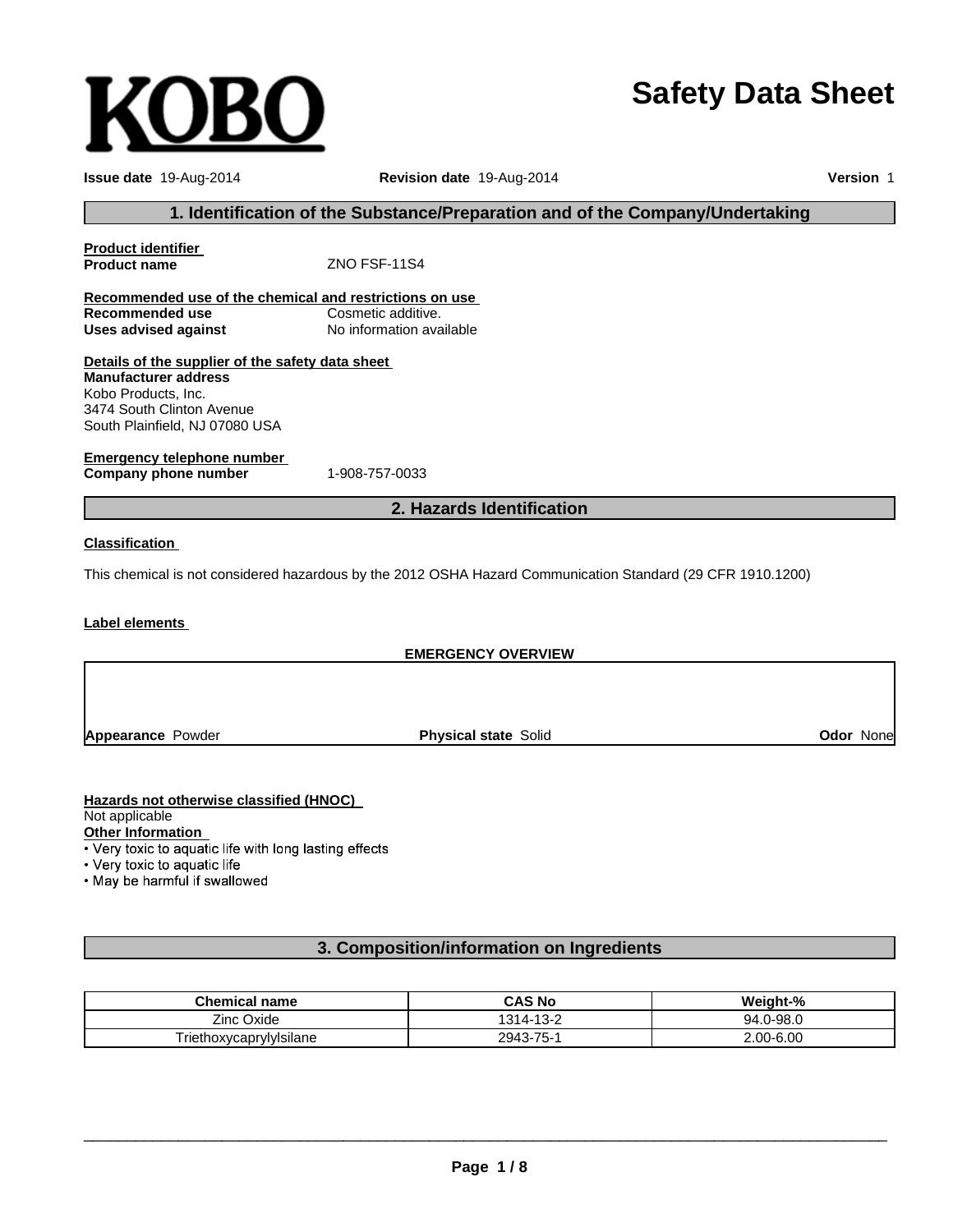# **Safety Data Sheet**

| <b>Issue date</b> 19-Aug-2014                                                 | <b>Revision date 19-Aug-2014</b>                                                                            | Version 1 |  |  |
|-------------------------------------------------------------------------------|-------------------------------------------------------------------------------------------------------------|-----------|--|--|
| 1. Identification of the Substance/Preparation and of the Company/Undertaking |                                                                                                             |           |  |  |
| <b>Product identifier</b>                                                     |                                                                                                             |           |  |  |
| <b>Product name</b>                                                           | ZNO FSF-11S4                                                                                                |           |  |  |
| Recommended use of the chemical and restrictions on use                       |                                                                                                             |           |  |  |
| <b>Recommended use</b>                                                        | Cosmetic additive.                                                                                          |           |  |  |
| <b>Uses advised against</b>                                                   | No information available                                                                                    |           |  |  |
| Details of the supplier of the safety data sheet                              |                                                                                                             |           |  |  |
| <b>Manufacturer address</b>                                                   |                                                                                                             |           |  |  |
| Kobo Products, Inc.                                                           |                                                                                                             |           |  |  |
| 3474 South Clinton Avenue                                                     |                                                                                                             |           |  |  |
| South Plainfield, NJ 07080 USA                                                |                                                                                                             |           |  |  |
|                                                                               |                                                                                                             |           |  |  |
| <b>Emergency telephone number</b>                                             |                                                                                                             |           |  |  |
| Company phone number                                                          | 1-908-757-0033                                                                                              |           |  |  |
|                                                                               | 2. Hazards Identification                                                                                   |           |  |  |
| <b>Classification</b>                                                         |                                                                                                             |           |  |  |
|                                                                               | This chemical is not considered hazardous by the 2012 OSHA Hazard Communication Standard (29 CFR 1910.1200) |           |  |  |
| <b>Label elements</b>                                                         |                                                                                                             |           |  |  |
|                                                                               | <b>EMERGENCY OVERVIEW</b>                                                                                   |           |  |  |
|                                                                               |                                                                                                             |           |  |  |
|                                                                               |                                                                                                             |           |  |  |

**Appearance** Powder

**Physical state** Solid **Odor** None

#### **Hazards not otherwise classified (HNOC)**

**KOBO** 

Not applicable

Other Information<br>• Very toxic to aquatic life with long lasting effects

• Very toxic to aquatic life

. May be harmful if swallowed

#### **3. Composition/information on Ingredients**

| <b>Chemical name</b>                  | <b>CAS No</b> | Weight-%      |
|---------------------------------------|---------------|---------------|
| Zinc 0<br>: Oxide                     | 1314-13-2     | .0-98.0<br>94 |
| $\cdot$ .<br>l riethoxvcaprvlvIsilane | 2943-75-1     | 2.00-6.00     |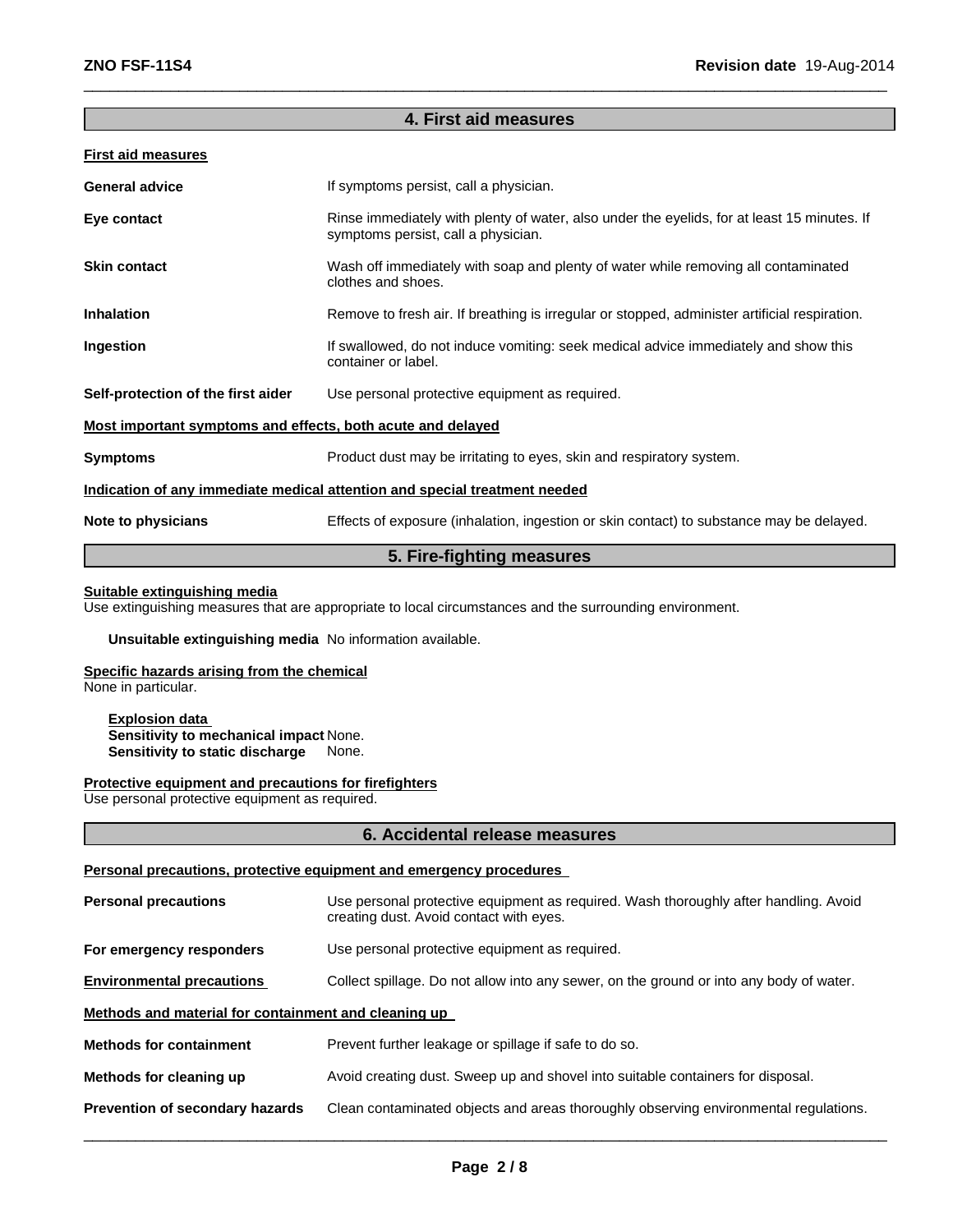#### **4. First aid measures**

 $\_$  , and the set of the set of the set of the set of the set of the set of the set of the set of the set of the set of the set of the set of the set of the set of the set of the set of the set of the set of the set of th

#### **First aid measures**

| <b>General advice</b>                                                      | If symptoms persist, call a physician.                                                                                             |  |
|----------------------------------------------------------------------------|------------------------------------------------------------------------------------------------------------------------------------|--|
| Eye contact                                                                | Rinse immediately with plenty of water, also under the eyelids, for at least 15 minutes. If<br>symptoms persist, call a physician. |  |
| <b>Skin contact</b>                                                        | Wash off immediately with soap and plenty of water while removing all contaminated<br>clothes and shoes.                           |  |
| <b>Inhalation</b>                                                          | Remove to fresh air. If breathing is irregular or stopped, administer artificial respiration.                                      |  |
| Ingestion                                                                  | If swallowed, do not induce vomiting: seek medical advice immediately and show this<br>container or label.                         |  |
| Self-protection of the first aider                                         | Use personal protective equipment as required.                                                                                     |  |
| Most important symptoms and effects, both acute and delayed                |                                                                                                                                    |  |
| <b>Symptoms</b>                                                            | Product dust may be irritating to eyes, skin and respiratory system.                                                               |  |
| Indication of any immediate medical attention and special treatment needed |                                                                                                                                    |  |
| Note to physicians                                                         | Effects of exposure (inhalation, ingestion or skin contact) to substance may be delayed.                                           |  |

#### **5. Fire-fighting measures**

#### **Suitable extinguishing media**

Use extinguishing measures that are appropriate to local circumstances and the surrounding environment.

#### **Unsuitable extinguishing media** No information available.

#### **Specific hazards arising from the chemical**

None in particular.

#### **Explosion data Sensitivity to mechanical impact** None. **Sensitivity to static discharge** None.

#### **Protective equipment and precautions for firefighters**

Use personal protective equipment as required.

#### **6. Accidental release measures**

#### **Personal precautions, protective equipment and emergency procedures**

| <b>Personal precautions</b>                          | Use personal protective equipment as required. Wash thoroughly after handling. Avoid<br>creating dust. Avoid contact with eyes. |  |  |
|------------------------------------------------------|---------------------------------------------------------------------------------------------------------------------------------|--|--|
| For emergency responders                             | Use personal protective equipment as required.                                                                                  |  |  |
| <b>Environmental precautions</b>                     | Collect spillage. Do not allow into any sewer, on the ground or into any body of water.                                         |  |  |
| Methods and material for containment and cleaning up |                                                                                                                                 |  |  |
| <b>Methods for containment</b>                       | Prevent further leakage or spillage if safe to do so.                                                                           |  |  |
| Methods for cleaning up                              | Avoid creating dust. Sweep up and shovel into suitable containers for disposal.                                                 |  |  |
| Prevention of secondary hazards                      | Clean contaminated objects and areas thoroughly observing environmental regulations.                                            |  |  |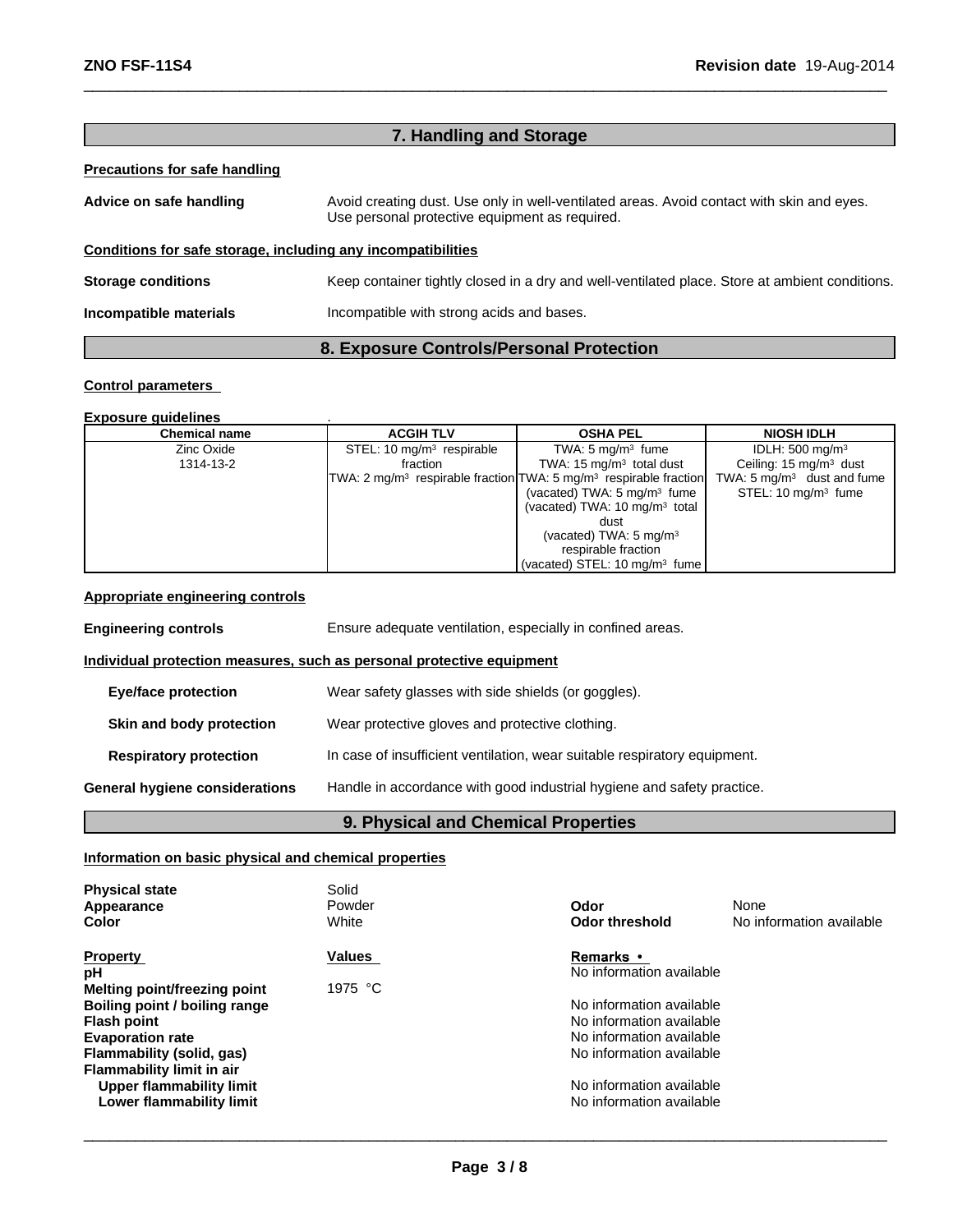| 7. Handling and Storage                                      |                                                                                                                                             |  |  |
|--------------------------------------------------------------|---------------------------------------------------------------------------------------------------------------------------------------------|--|--|
| Precautions for safe handling                                |                                                                                                                                             |  |  |
| Advice on safe handling                                      | Avoid creating dust. Use only in well-ventilated areas. Avoid contact with skin and eyes.<br>Use personal protective equipment as required. |  |  |
| Conditions for safe storage, including any incompatibilities |                                                                                                                                             |  |  |
| <b>Storage conditions</b>                                    | Keep container tightly closed in a dry and well-ventilated place. Store at ambient conditions.                                              |  |  |
| Incompatible materials                                       | Incompatible with strong acids and bases.                                                                                                   |  |  |
|                                                              | 8. Exposure Controls/Personal Protection                                                                                                    |  |  |

 $\_$  , and the set of the set of the set of the set of the set of the set of the set of the set of the set of the set of the set of the set of the set of the set of the set of the set of the set of the set of the set of th

#### **Control parameters**

#### **Exposure guidelines** .

| <b>Chemical name</b> | <b>ACGIH TLV</b>            | <b>OSHA PEL</b>                                                                           | <b>NIOSH IDLH</b>                     |
|----------------------|-----------------------------|-------------------------------------------------------------------------------------------|---------------------------------------|
| Zinc Oxide           | STEL: 10 $mg/m3$ respirable | TWA: $5 \text{ mg/m}^3$ fume                                                              | IDLH: $500 \text{ mg/m}^3$            |
| 1314-13-2            | fraction                    | TWA: $15 \text{ mg/m}^3$ total dust                                                       | Ceiling: $15 \text{ mg/m}^3$ dust     |
|                      |                             | TWA: 2 mg/m <sup>3</sup> respirable fraction TWA: 5 mg/m <sup>3</sup> respirable fraction | TWA: $5 \text{ mg/m}^3$ dust and fume |
|                      |                             | (vacated) TWA: $5 \text{ mg/m}^3$ fume                                                    | STEL: 10 mg/m <sup>3</sup> fume       |
|                      |                             | (vacated) TWA: $10 \text{ mg/m}^3$ total                                                  |                                       |
|                      |                             | dust                                                                                      |                                       |
|                      |                             | (vacated) TWA: $5 \text{ mg/m}^3$                                                         |                                       |
|                      |                             | respirable fraction                                                                       |                                       |
|                      |                             | (vacated) STEL: 10 mg/m <sup>3</sup> fume                                                 |                                       |

#### **Appropriate engineering controls**

| <b>Engineering controls</b>                                           | Ensure adequate ventilation, especially in confined areas.                |  |
|-----------------------------------------------------------------------|---------------------------------------------------------------------------|--|
| Individual protection measures, such as personal protective equipment |                                                                           |  |
| Eye/face protection                                                   | Wear safety glasses with side shields (or goggles).                       |  |
| Skin and body protection                                              | Wear protective gloves and protective clothing.                           |  |
| <b>Respiratory protection</b>                                         | In case of insufficient ventilation, wear suitable respiratory equipment. |  |
| General hygiene considerations                                        | Handle in accordance with good industrial hygiene and safety practice.    |  |
|                                                                       |                                                                           |  |

# **9. Physical and Chemical Properties**

#### **Information on basic physical and chemical properties**

| <b>Physical state</b><br>Appearance<br>Color | Solid<br>Powder<br>White | Odor<br><b>Odor threshold</b> | None<br>No information available |
|----------------------------------------------|--------------------------|-------------------------------|----------------------------------|
| <b>Property</b>                              | <b>Values</b>            | <b>Remarks</b> •              |                                  |
| рH                                           |                          | No information available      |                                  |
| Melting point/freezing point                 | 1975 °C                  |                               |                                  |
| Boiling point / boiling range                |                          | No information available      |                                  |
| <b>Flash point</b>                           |                          | No information available      |                                  |
| <b>Evaporation rate</b>                      |                          | No information available      |                                  |
| Flammability (solid, gas)                    |                          | No information available      |                                  |
| <b>Flammability limit in air</b>             |                          |                               |                                  |
| <b>Upper flammability limit</b>              |                          | No information available      |                                  |
| Lower flammability limit                     |                          | No information available      |                                  |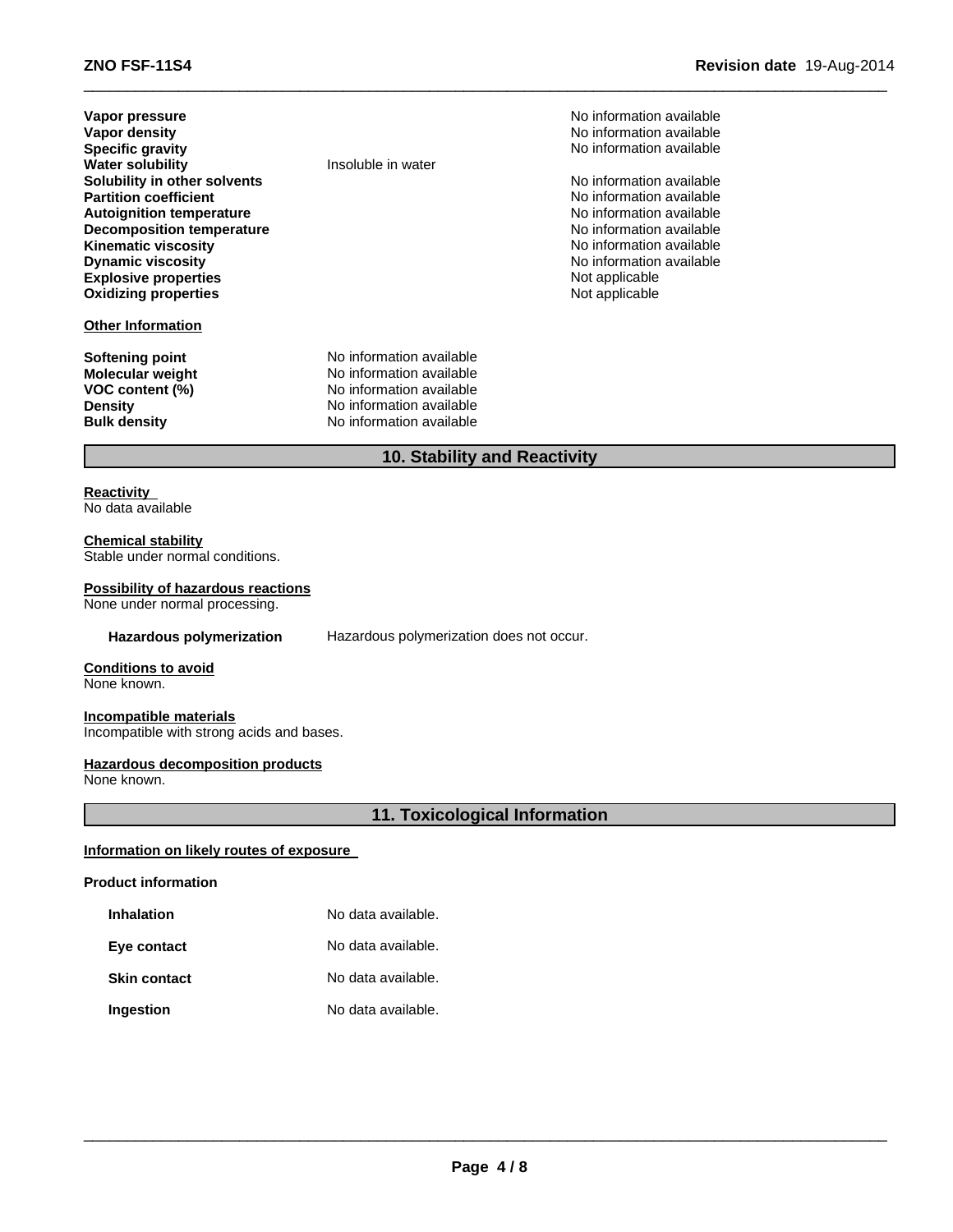| Vapor pressure                   |
|----------------------------------|
| Vapor density                    |
| <b>Specific gravity</b>          |
| <b>Water solubility</b>          |
| Solubility in other solvents     |
| <b>Partition coefficient</b>     |
| <b>Autoignition temperature</b>  |
| <b>Decomposition temperature</b> |
| <b>Kinematic viscosity</b>       |
| <b>Dynamic viscosity</b>         |
| <b>Explosive properties</b>      |
| <b>Oxidizing properties</b>      |
|                                  |

#### **Other Information**

**Insoluble in water** 

**Softening point** No information available **Molecular weight** No information available<br> **VOC content (%)** No information available **No information available Density Density Density Bulk density Research American** No information available **No information available** 

**No information available No information available Specific gravity** No information available

**No information available No information available No information available No information available No information available No information available** Not applicable Not applicable

#### **10. Stability and Reactivity**

 $\_$  , and the set of the set of the set of the set of the set of the set of the set of the set of the set of the set of the set of the set of the set of the set of the set of the set of the set of the set of the set of th

#### **Reactivity** No data available

**Chemical stability**

Stable under normal conditions.

#### **Possibility of hazardous reactions**

None under normal processing.

**Hazardous polymerization** Hazardous polymerization does not occur.

## **Conditions to avoid**

None known.

#### **Incompatible materials**

Incompatible with strong acids and bases.

#### **Hazardous decomposition products**

None known.

#### **11. Toxicological Information**

#### **Information on likely routes of exposure**

#### **Product information**

| <b>Inhalation</b> | No data available. |  |
|-------------------|--------------------|--|
|                   |                    |  |

| Eye contact | No data available. |
|-------------|--------------------|
|             |                    |

**Skin contact** No data available.

#### **Ingestion** No data available.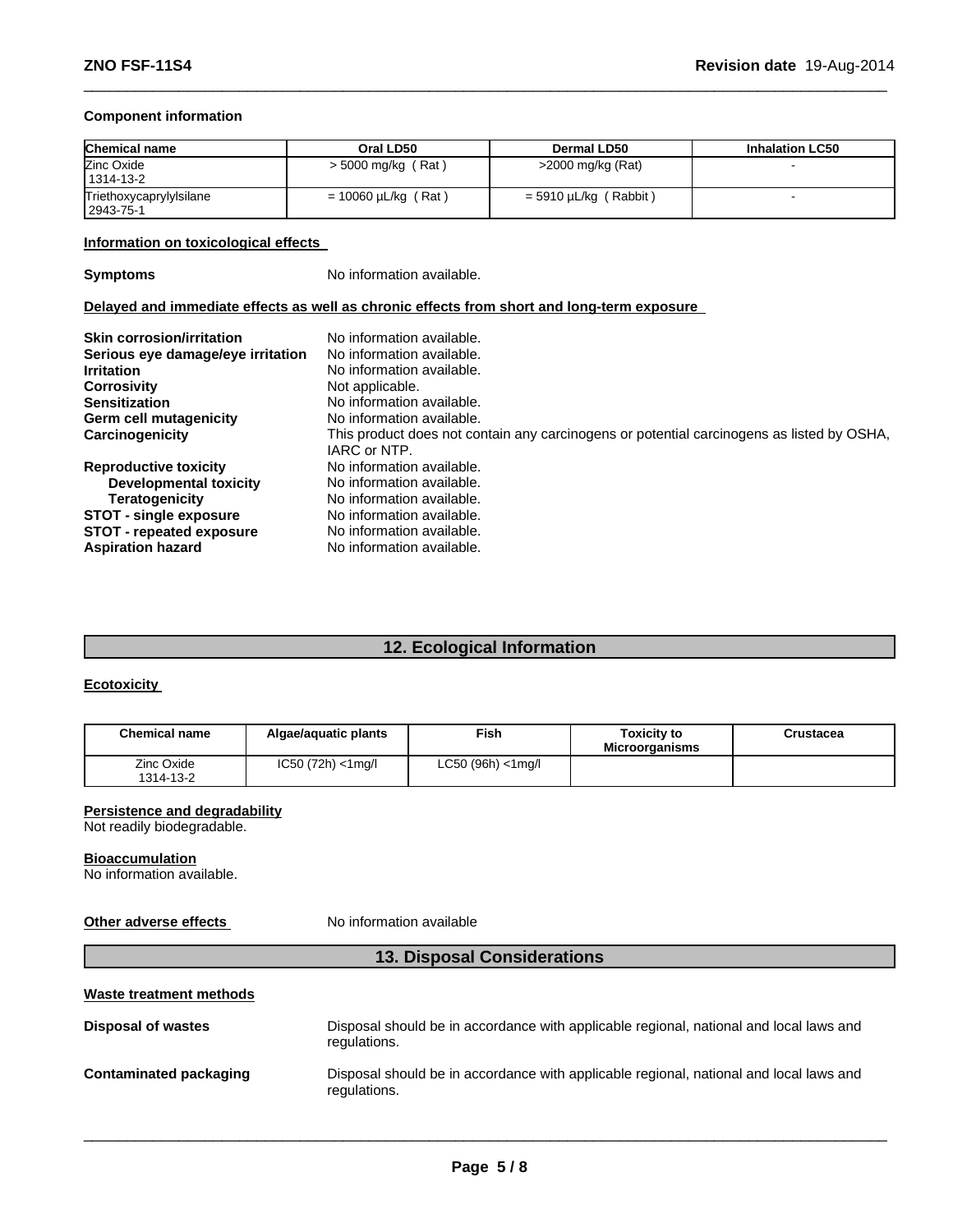#### **Component information**

| <b>Chemical name</b>                 | Oral LD50                | Dermal LD50                | <b>Inhalation LC50</b> |
|--------------------------------------|--------------------------|----------------------------|------------------------|
| Zinc Oxide<br>1314-13-2              | $>$ 5000 mg/kg (Rat)     | $>$ 2000 mg/kg (Rat)       |                        |
| Triethoxycaprylylsilane<br>2943-75-1 | $= 10060 \mu L/kg$ (Rat) | (Rabbit)<br>= 5910 µL/kg ( |                        |

 $\_$  , and the set of the set of the set of the set of the set of the set of the set of the set of the set of the set of the set of the set of the set of the set of the set of the set of the set of the set of the set of th

#### **Information on toxicological effects**

**Symptoms** No information available.

#### **Delayed and immediate effects as well as chronic effects from short and long-term exposure**

| <b>Skin corrosion/irritation</b><br>Serious eye damage/eye irritation<br><b>Irritation</b><br><b>Corrosivity</b><br><b>Sensitization</b><br><b>Germ cell mutagenicity</b> | No information available.<br>No information available.<br>No information available.<br>Not applicable.<br>No information available.<br>No information available. |
|---------------------------------------------------------------------------------------------------------------------------------------------------------------------------|------------------------------------------------------------------------------------------------------------------------------------------------------------------|
| Carcinogenicity                                                                                                                                                           | This product does not contain any carcinogens or potential carcinogens as listed by OSHA,                                                                        |
|                                                                                                                                                                           | IARC or NTP.                                                                                                                                                     |
| <b>Reproductive toxicity</b>                                                                                                                                              | No information available.                                                                                                                                        |
| <b>Developmental toxicity</b>                                                                                                                                             | No information available.                                                                                                                                        |
| <b>Teratogenicity</b>                                                                                                                                                     | No information available.                                                                                                                                        |
| <b>STOT - single exposure</b>                                                                                                                                             | No information available.                                                                                                                                        |
| <b>STOT - repeated exposure</b>                                                                                                                                           | No information available.                                                                                                                                        |
| <b>Aspiration hazard</b>                                                                                                                                                  | No information available.                                                                                                                                        |

### **12. Ecological Information**

#### **Ecotoxicity**

| <b>Chemical name</b>    | Algae/aguatic plants  | <sup>⊏</sup> ish      | <b>Toxicity to</b><br><b>Microorganisms</b> | Crustacea |
|-------------------------|-----------------------|-----------------------|---------------------------------------------|-----------|
| Zinc Oxide<br>1314-13-2 | $IC50 (72h) < 1$ mg/l | $LC50 (96h) < 1$ mg/l |                                             |           |

#### **Persistence and degradability**

Not readily biodegradable.

#### **Bioaccumulation**

No information available.

#### **Other adverse effects** No information available

### **13. Disposal Considerations**

#### **Waste treatment methods**

| <b>Disposal of wastes</b> | Disposal should be in accordance with applicable regional, national and local laws and<br>regulations. |
|---------------------------|--------------------------------------------------------------------------------------------------------|
| Contaminated packaging    | Disposal should be in accordance with applicable regional, national and local laws and<br>regulations. |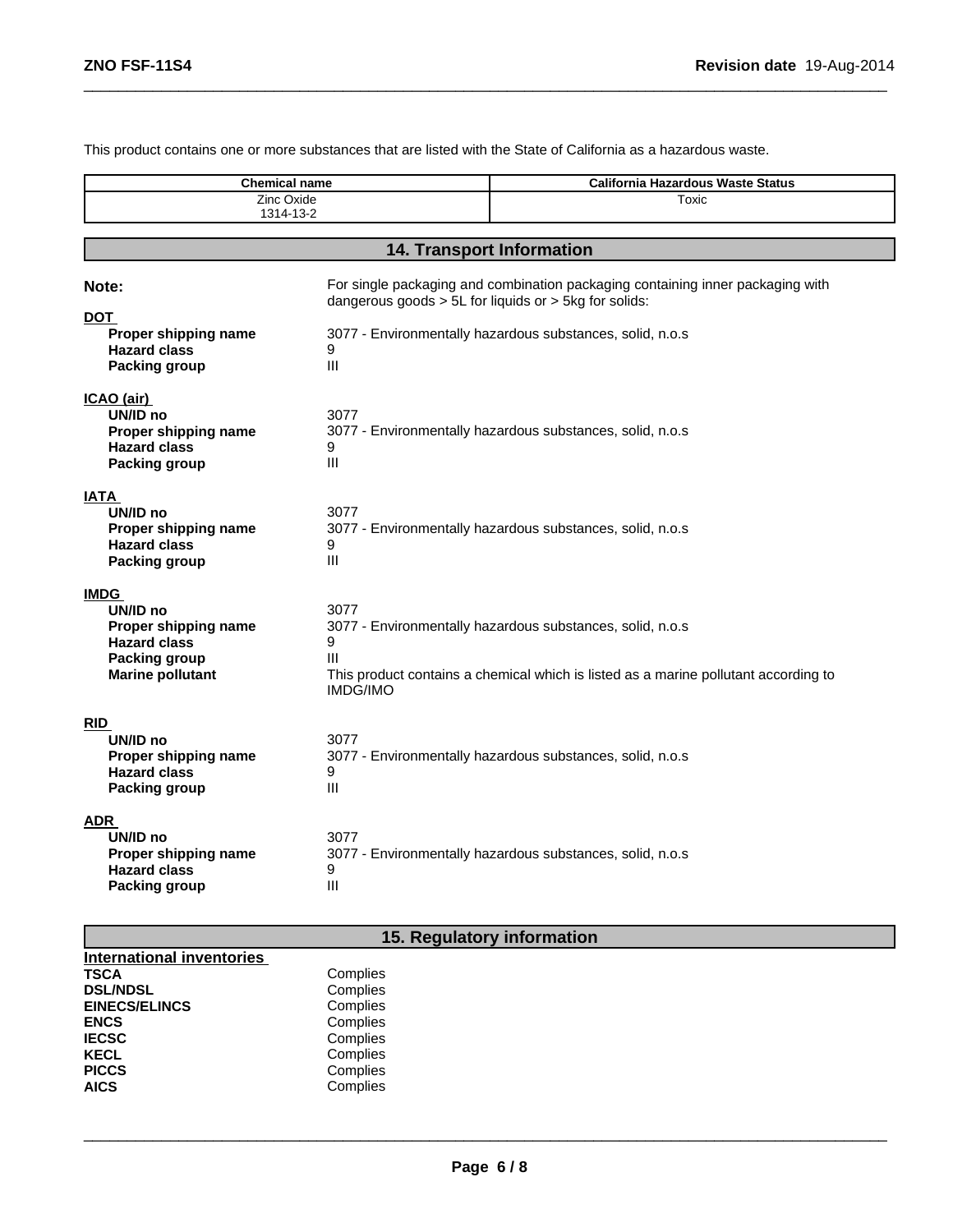This product contains one or more substances that are listed with the State of California as a hazardous waste.

 $\_$  , and the set of the set of the set of the set of the set of the set of the set of the set of the set of the set of the set of the set of the set of the set of the set of the set of the set of the set of the set of th

| <b>Chemical name</b><br>Zinc Oxide                                                                                        |                                                                                                                                         | <b>California Hazardous Waste Status</b><br>Toxic                                                                                                |  |  |
|---------------------------------------------------------------------------------------------------------------------------|-----------------------------------------------------------------------------------------------------------------------------------------|--------------------------------------------------------------------------------------------------------------------------------------------------|--|--|
| 1314-13-2                                                                                                                 |                                                                                                                                         |                                                                                                                                                  |  |  |
| 14. Transport Information                                                                                                 |                                                                                                                                         |                                                                                                                                                  |  |  |
| Note:                                                                                                                     | For single packaging and combination packaging containing inner packaging with<br>dangerous goods > 5L for liquids or > 5kg for solids: |                                                                                                                                                  |  |  |
| <b>DOT</b><br>Proper shipping name<br><b>Hazard class</b><br><b>Packing group</b>                                         | 9<br>$\mathbf{III}$                                                                                                                     | 3077 - Environmentally hazardous substances, solid, n.o.s                                                                                        |  |  |
| ICAO (air)<br>UN/ID no<br>Proper shipping name<br><b>Hazard class</b><br><b>Packing group</b>                             | 3077<br>9<br>$\mathbf{III}$                                                                                                             | 3077 - Environmentally hazardous substances, solid, n.o.s                                                                                        |  |  |
| <b>IATA</b><br>UN/ID no<br>Proper shipping name<br><b>Hazard class</b><br><b>Packing group</b>                            | 3077<br>9<br>Ш                                                                                                                          | 3077 - Environmentally hazardous substances, solid, n.o.s                                                                                        |  |  |
| <b>IMDG</b><br>UN/ID no<br>Proper shipping name<br><b>Hazard class</b><br><b>Packing group</b><br><b>Marine pollutant</b> | 3077<br>9<br>III<br><b>IMDG/IMO</b>                                                                                                     | 3077 - Environmentally hazardous substances, solid, n.o.s<br>This product contains a chemical which is listed as a marine pollutant according to |  |  |
| <b>RID</b><br>UN/ID no<br>Proper shipping name<br><b>Hazard class</b><br><b>Packing group</b>                             | 3077<br>9<br>Ш                                                                                                                          | 3077 - Environmentally hazardous substances, solid, n.o.s                                                                                        |  |  |
| ADR<br>UN/ID no<br>Proper shipping name<br><b>Hazard class</b><br><b>Packing group</b>                                    | 3077<br>9<br>$\mathbf{III}$                                                                                                             | 3077 - Environmentally hazardous substances, solid, n.o.s                                                                                        |  |  |

# **15. Regulatory information**

| <b>International inventories</b> |          |
|----------------------------------|----------|
|                                  |          |
| <b>TSCA</b>                      | Complies |
| <b>DSL/NDSL</b>                  | Complies |
| <b>EINECS/ELINCS</b>             | Complies |
| <b>ENCS</b>                      | Complies |
| <b>IECSC</b>                     | Complies |
| <b>KECL</b>                      | Complies |
| <b>PICCS</b>                     | Complies |
| <b>AICS</b>                      | Complies |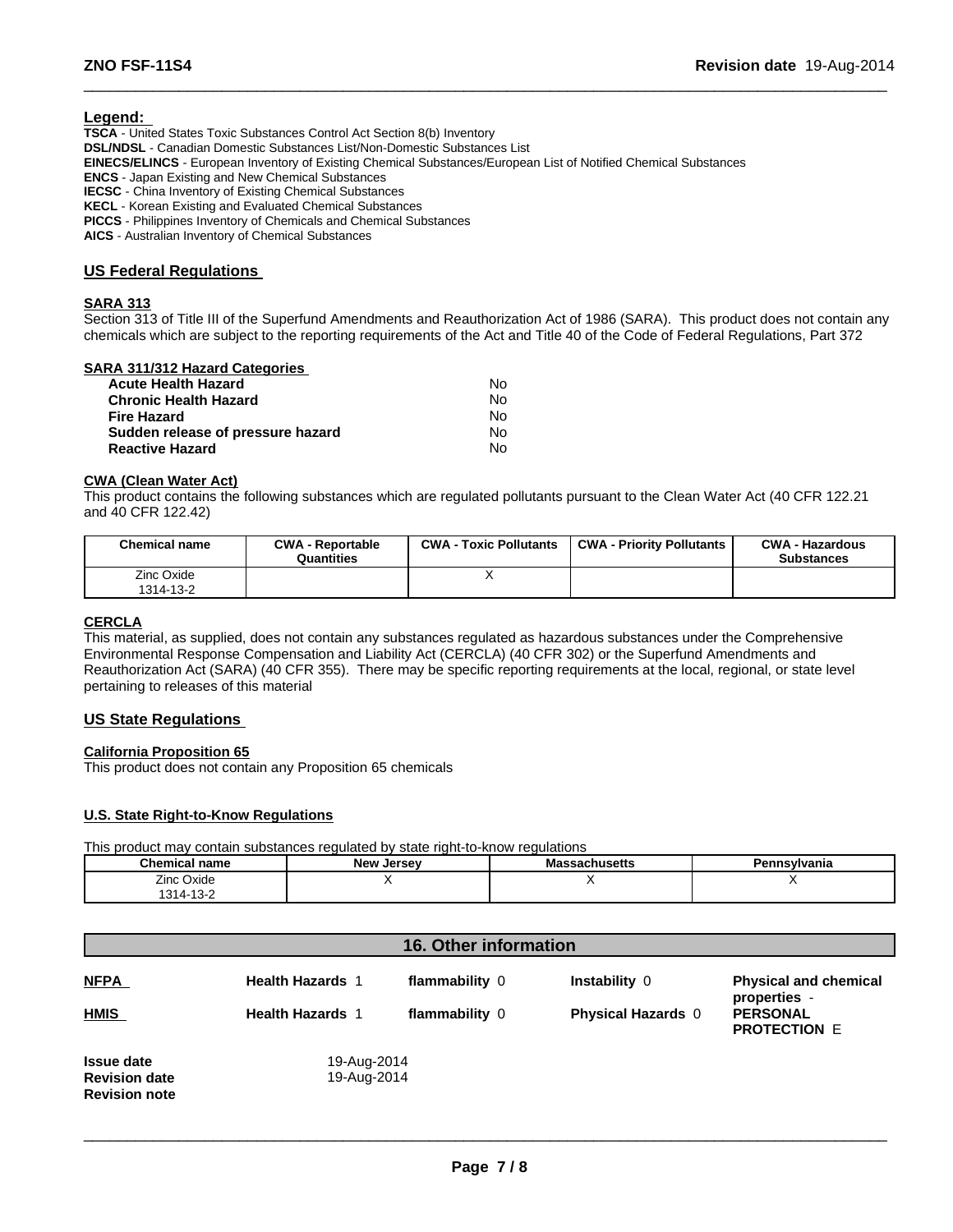#### **Legend:**

**TSCA** - United States Toxic Substances Control Act Section 8(b) Inventory **DSL/NDSL** - Canadian Domestic Substances List/Non-Domestic Substances List **EINECS/ELINCS** - European Inventory of Existing Chemical Substances/European List of Notified Chemical Substances **ENCS** - Japan Existing and New Chemical Substances **IECSC** - China Inventory of Existing Chemical Substances **KECL** - Korean Existing and Evaluated Chemical Substances **PICCS** - Philippines Inventory of Chemicals and Chemical Substances

**AICS** - Australian Inventory of Chemical Substances

#### **US Federal Regulations**

#### **SARA 313**

Section 313 of Title III of the Superfund Amendments and Reauthorization Act of 1986 (SARA). This product does not contain any chemicals which are subject to the reporting requirements of the Act and Title 40 of the Code of Federal Regulations, Part 372

 $\_$  , and the set of the set of the set of the set of the set of the set of the set of the set of the set of the set of the set of the set of the set of the set of the set of the set of the set of the set of the set of th

#### **SARA 311/312 Hazard Categories**

| <b>Acute Health Hazard</b>        | N٥ |
|-----------------------------------|----|
| <b>Chronic Health Hazard</b>      | Nο |
| <b>Fire Hazard</b>                | Nο |
| Sudden release of pressure hazard | Nο |
| <b>Reactive Hazard</b>            | N٥ |

#### **CWA (Clean Water Act)**

This product contains the following substances which are regulated pollutants pursuant to the Clean Water Act (40 CFR 122.21 and 40 CFR 122.42)

| <b>Chemical name</b>    | <b>CWA - Reportable</b><br>Quantities | <b>CWA - Toxic Pollutants</b> | <b>CWA - Priority Pollutants</b> | <b>CWA - Hazardous</b><br><b>Substances</b> |
|-------------------------|---------------------------------------|-------------------------------|----------------------------------|---------------------------------------------|
| Zinc Oxide<br>1314-13-2 |                                       |                               |                                  |                                             |

#### **CERCLA**

This material, as supplied, does not contain any substances regulated as hazardous substances under the Comprehensive Environmental Response Compensation and Liability Act (CERCLA) (40 CFR 302) or the Superfund Amendments and Reauthorization Act (SARA) (40 CFR 355). There may be specific reporting requirements at the local, regional, or state level pertaining to releases of this material

#### **US State Regulations**

#### **California Proposition 65**

This product does not contain any Proposition 65 chemicals

#### **U.S. State Right-to-Know Regulations**

This product may contain substances regulated by state right-to-know regulations

| <b>Chemical name</b>                | . .<br>New Jersey | achusetts۔۔۔<br>мa | Pennsylvania |
|-------------------------------------|-------------------|--------------------|--------------|
| Zinc Oxide                          |                   | $\cdot$ .          |              |
| $\sqrt{2}$<br>1314<br>$13 - 7$<br>ັ |                   |                    |              |

| <b>16. Other information</b>                                      |                            |                |                           |                                              |  |
|-------------------------------------------------------------------|----------------------------|----------------|---------------------------|----------------------------------------------|--|
| <b>NFPA</b>                                                       | <b>Health Hazards 1</b>    | flammability 0 | <b>Instability 0</b>      | <b>Physical and chemical</b><br>properties - |  |
| <b>HMIS</b>                                                       | <b>Health Hazards 1</b>    | flammability 0 | <b>Physical Hazards 0</b> | <b>PERSONAL</b><br><b>PROTECTION E</b>       |  |
| <b>Issue date</b><br><b>Revision date</b><br><b>Revision note</b> | 19-Aug-2014<br>19-Aug-2014 |                |                           |                                              |  |